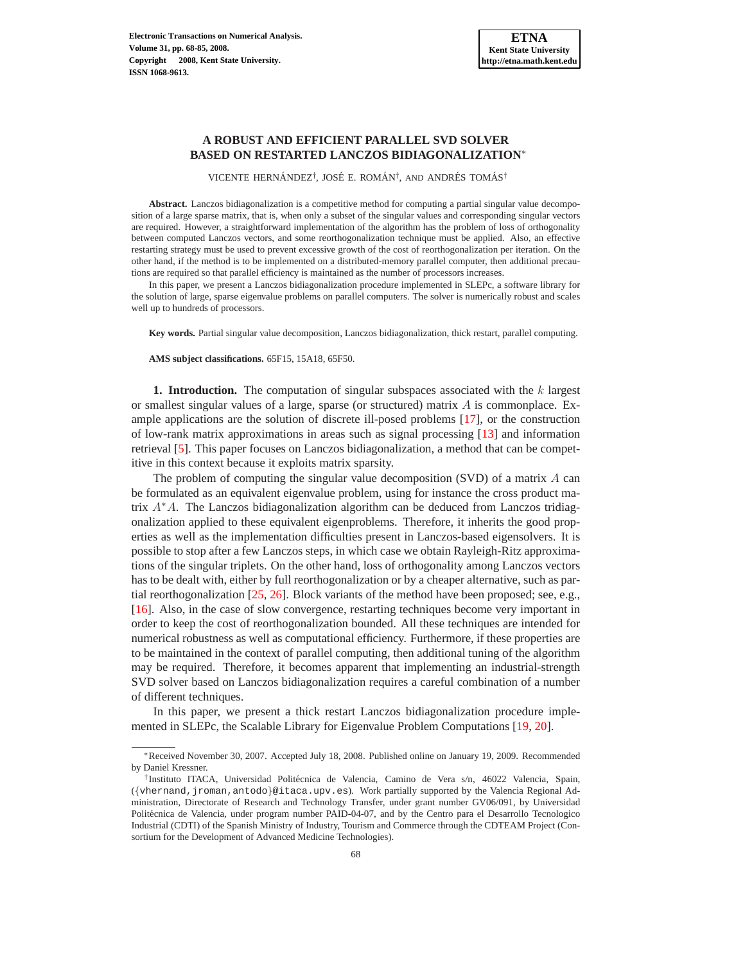# **A ROBUST AND EFFICIENT PARALLEL SVD SOLVER BASED ON RESTARTED LANCZOS BIDIAGONALIZATION**<sup>∗</sup>

VICENTE HERNÁNDEZ<sup>†</sup>, JOSÉ E. ROMÁN<sup>†</sup>, AND ANDRÉS TOMÁS<sup>†</sup>

**Abstract.** Lanczos bidiagonalization is a competitive method for computing a partial singular value decomposition of a large sparse matrix, that is, when only a subset of the singular values and corresponding singular vectors are required. However, a straightforward implementation of the algorithm has the problem of loss of orthogonality between computed Lanczos vectors, and some reorthogonalization technique must be applied. Also, an effective restarting strategy must be used to prevent excessive growth of the cost of reorthogonalization per iteration. On the other hand, if the method is to be implemented on a distributed-memory parallel computer, then additional precautions are required so that parallel efficiency is maintained as the number of processors increases.

In this paper, we present a Lanczos bidiagonalization procedure implemented in SLEPc, a software library for the solution of large, sparse eigenvalue problems on parallel computers. The solver is numerically robust and scales well up to hundreds of processors.

**Key words.** Partial singular value decomposition, Lanczos bidiagonalization, thick restart, parallel computing.

**AMS subject classifications.** 65F15, 15A18, 65F50.

**1. Introduction.** The computation of singular subspaces associated with the k largest or smallest singular values of a large, sparse (or structured) matrix  $A$  is commonplace. Example applications are the solution of discrete ill-posed problems [\[17\]](#page-16-0), or the construction of low-rank matrix approximations in areas such as signal processing [\[13\]](#page-16-1) and information retrieval [\[5\]](#page-16-2). This paper focuses on Lanczos bidiagonalization, a method that can be competitive in this context because it exploits matrix sparsity.

The problem of computing the singular value decomposition (SVD) of a matrix  $\vec{A}$  can be formulated as an equivalent eigenvalue problem, using for instance the cross product matrix A<sup>∗</sup>A. The Lanczos bidiagonalization algorithm can be deduced from Lanczos tridiagonalization applied to these equivalent eigenproblems. Therefore, it inherits the good properties as well as the implementation difficulties present in Lanczos-based eigensolvers. It is possible to stop after a few Lanczos steps, in which case we obtain Rayleigh-Ritz approximations of the singular triplets. On the other hand, loss of orthogonality among Lanczos vectors has to be dealt with, either by full reorthogonalization or by a cheaper alternative, such as partial reorthogonalization [\[25,](#page-17-0) [26\]](#page-17-1). Block variants of the method have been proposed; see, e.g., [\[16\]](#page-16-3). Also, in the case of slow convergence, restarting techniques become very important in order to keep the cost of reorthogonalization bounded. All these techniques are intended for numerical robustness as well as computational efficiency. Furthermore, if these properties are to be maintained in the context of parallel computing, then additional tuning of the algorithm may be required. Therefore, it becomes apparent that implementing an industrial-strength SVD solver based on Lanczos bidiagonalization requires a careful combination of a number of different techniques.

In this paper, we present a thick restart Lanczos bidiagonalization procedure implemented in SLEPc, the Scalable Library for Eigenvalue Problem Computations [\[19,](#page-16-4) [20\]](#page-16-5).

<sup>∗</sup>Received November 30, 2007. Accepted July 18, 2008. Published online on January 19, 2009. Recommended by Daniel Kressner.

<sup>&</sup>lt;sup>†</sup>Instituto ITACA, Universidad Politécnica de Valencia, Camino de Vera s/n, 46022 Valencia, Spain, ({vhernand,jroman,antodo}@itaca.upv.es). Work partially supported by the Valencia Regional Administration, Directorate of Research and Technology Transfer, under grant number GV06/091, by Universidad Politécnica de Valencia, under program number PAID-04-07, and by the Centro para el Desarrollo Tecnologico Industrial (CDTI) of the Spanish Ministry of Industry, Tourism and Commerce through the CDTEAM Project (Consortium for the Development of Advanced Medicine Technologies).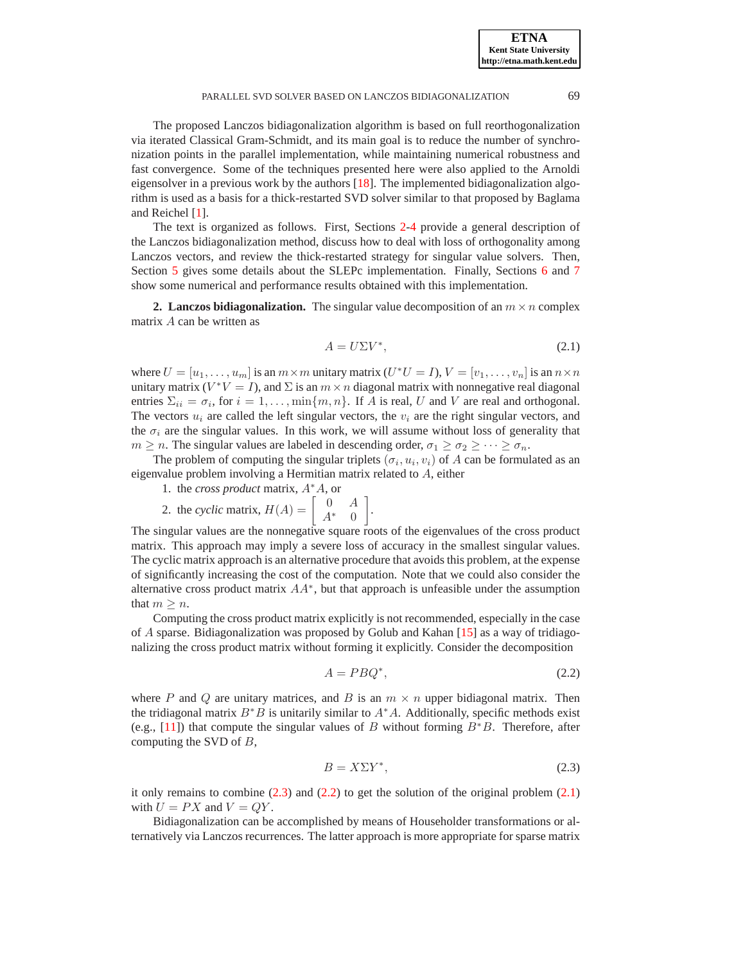**ETNA Kent State University http://etna.math.kent.edu**

#### PARALLEL SVD SOLVER BASED ON LANCZOS BIDIAGONALIZATION 69

The proposed Lanczos bidiagonalization algorithm is based on full reorthogonalization via iterated Classical Gram-Schmidt, and its main goal is to reduce the number of synchronization points in the parallel implementation, while maintaining numerical robustness and fast convergence. Some of the techniques presented here were also applied to the Arnoldi eigensolver in a previous work by the authors [\[18\]](#page-16-6). The implemented bidiagonalization algorithm is used as a basis for a thick-restarted SVD solver similar to that proposed by Baglama and Reichel [\[1\]](#page-16-7).

The text is organized as follows. First, Sections [2](#page-1-0)[-4](#page-6-0) provide a general description of the Lanczos bidiagonalization method, discuss how to deal with loss of orthogonality among Lanczos vectors, and review the thick-restarted strategy for singular value solvers. Then, Section [5](#page-8-0) gives some details about the SLEPc implementation. Finally, Sections [6](#page-12-0) and [7](#page-13-0) show some numerical and performance results obtained with this implementation.

<span id="page-1-0"></span>**2. Lanczos bidiagonalization.** The singular value decomposition of an  $m \times n$  complex matrix A can be written as

<span id="page-1-3"></span>
$$
A = U\Sigma V^*,\tag{2.1}
$$

where  $U = [u_1, \dots, u_m]$  is an  $m \times m$  unitary matrix  $(U^*U = I), V = [v_1, \dots, v_n]$  is an  $n \times n$ unitary matrix  $(V^*V = I)$ , and  $\Sigma$  is an  $m \times n$  diagonal matrix with nonnegative real diagonal entries  $\Sigma_{ii} = \sigma_i$ , for  $i = 1, ..., \min\{m, n\}$ . If A is real, U and V are real and orthogonal. The vectors  $u_i$  are called the left singular vectors, the  $v_i$  are the right singular vectors, and the  $\sigma_i$  are the singular values. In this work, we will assume without loss of generality that  $m \geq n$ . The singular values are labeled in descending order,  $\sigma_1 \geq \sigma_2 \geq \cdots \geq \sigma_n$ .

The problem of computing the singular triplets  $(\sigma_i, u_i, v_i)$  of A can be formulated as an eigenvalue problem involving a Hermitian matrix related to A, either

- 1. the *cross product* matrix, A<sup>∗</sup>A, or 2. the *cyclic* matrix,  $H(A) = \begin{bmatrix} 0 & A \\ A^* & 0 \end{bmatrix}$
- $A^*$  0 .

The singular values are the nonnegative square roots of the eigenvalues of the cross product matrix. This approach may imply a severe loss of accuracy in the smallest singular values. The cyclic matrix approach is an alternative procedure that avoids this problem, at the expense of significantly increasing the cost of the computation. Note that we could also consider the alternative cross product matrix  $AA^*$ , but that approach is unfeasible under the assumption that  $m \geq n$ .

Computing the cross product matrix explicitly is not recommended, especially in the case of A sparse. Bidiagonalization was proposed by Golub and Kahan [\[15\]](#page-16-8) as a way of tridiagonalizing the cross product matrix without forming it explicitly. Consider the decomposition

<span id="page-1-2"></span>
$$
A = P B Q^*,\tag{2.2}
$$

where P and Q are unitary matrices, and B is an  $m \times n$  upper bidiagonal matrix. Then the tridiagonal matrix  $B^*B$  is unitarily similar to  $A^*A$ . Additionally, specific methods exist (e.g., [\[11\]](#page-16-9)) that compute the singular values of B without forming  $B^*B$ . Therefore, after computing the SVD of  $B$ ,

<span id="page-1-1"></span>
$$
B = X\Sigma Y^*,\tag{2.3}
$$

it only remains to combine  $(2.3)$  and  $(2.2)$  to get the solution of the original problem  $(2.1)$ with  $U = PX$  and  $V = QY$ .

Bidiagonalization can be accomplished by means of Householder transformations or alternatively via Lanczos recurrences. The latter approach is more appropriate for sparse matrix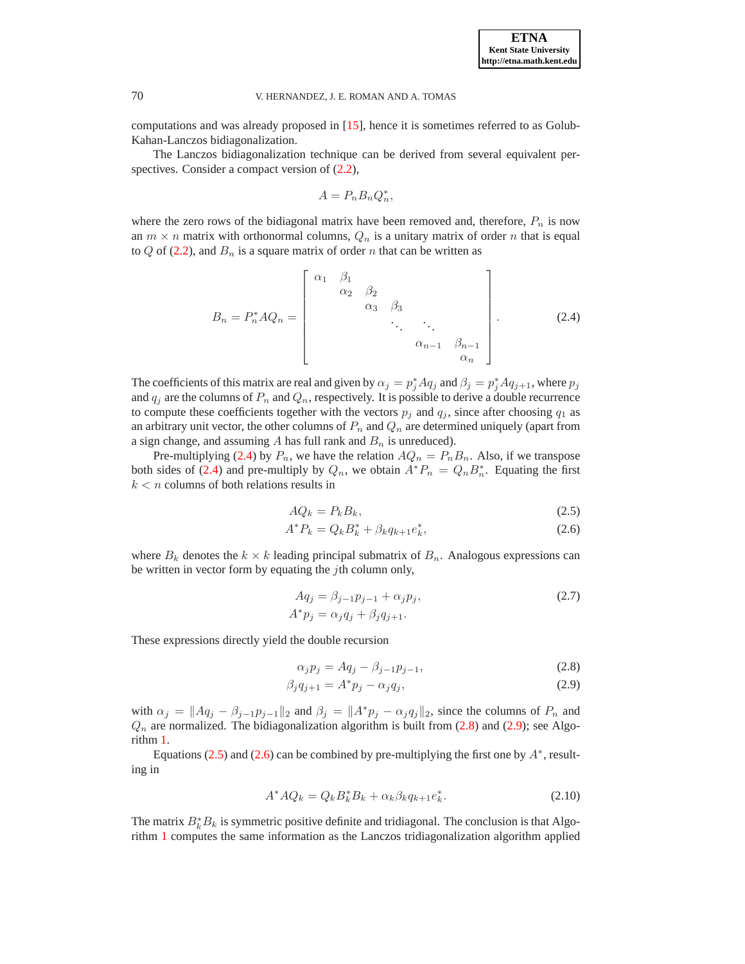**ETNA Kent State University http://etna.math.kent.edu**

## 70 V. HERNANDEZ, J. E. ROMAN AND A. TOMAS

computations and was already proposed in [\[15\]](#page-16-8), hence it is sometimes referred to as Golub-Kahan-Lanczos bidiagonalization.

The Lanczos bidiagonalization technique can be derived from several equivalent perspectives. Consider a compact version of  $(2.2)$ ,

$$
A = P_n B_n Q_n^*,
$$

where the zero rows of the bidiagonal matrix have been removed and, therefore,  $P_n$  is now an  $m \times n$  matrix with orthonormal columns,  $Q_n$  is a unitary matrix of order n that is equal to  $Q$  of [\(2.2\)](#page-1-2), and  $B_n$  is a square matrix of order n that can be written as

$$
B_{n} = P_{n}^{*} A Q_{n} = \begin{bmatrix} \alpha_{1} & \beta_{1} & & & \\ & \alpha_{2} & \beta_{2} & & \\ & & \alpha_{3} & \beta_{3} & \\ & & & \ddots & \ddots & \\ & & & & \alpha_{n-1} & \beta_{n-1} \\ & & & & & \alpha_{n} \end{bmatrix} .
$$
 (2.4)

<span id="page-2-0"></span>The coefficients of this matrix are real and given by  $\alpha_j = p_j^* A q_j$  and  $\beta_j = p_j^* A q_{j+1}$ , where  $p_j$ and  $q_j$  are the columns of  $P_n$  and  $Q_n$ , respectively. It is possible to derive a double recurrence to compute these coefficients together with the vectors  $p_j$  and  $q_j$ , since after choosing  $q_1$  as an arbitrary unit vector, the other columns of  $P_n$  and  $Q_n$  are determined uniquely (apart from a sign change, and assuming  $A$  has full rank and  $B_n$  is unreduced).

Pre-multiplying [\(2.4\)](#page-2-0) by  $P_n$ , we have the relation  $AQ_n = P_nB_n$ . Also, if we transpose both sides of [\(2.4\)](#page-2-0) and pre-multiply by  $Q_n$ , we obtain  $A^*P_n = Q_nB_n^*$ . Equating the first  $k < n$  columns of both relations results in

$$
AQ_k = P_k B_k,\tag{2.5}
$$

<span id="page-2-2"></span>
$$
A^* P_k = Q_k B_k^* + \beta_k q_{k+1} e_k^*,\tag{2.6}
$$

where  $B_k$  denotes the  $k \times k$  leading principal submatrix of  $B_n$ . Analogous expressions can be written in vector form by equating the  $j$ th column only,

<span id="page-2-4"></span>
$$
Aq_j = \beta_{j-1}p_{j-1} + \alpha_j p_j,
$$
  
\n
$$
A^*p_j = \alpha_j q_j + \beta_j q_{j+1}.
$$
\n(2.7)

These expressions directly yield the double recursion

$$
\alpha_j p_j = A q_j - \beta_{j-1} p_{j-1},\tag{2.8}
$$

<span id="page-2-1"></span>
$$
\beta_j q_{j+1} = A^* p_j - \alpha_j q_j, \qquad (2.9)
$$

with  $\alpha_j = ||Aq_j - \beta_{j-1}p_{j-1}||_2$  and  $\beta_j = ||A^*p_j - \alpha_jq_j||_2$ , since the columns of  $P_n$  and  $Q_n$  are normalized. The bidiagonalization algorithm is built from [\(2.8\)](#page-2-1) and [\(2.9\)](#page-2-1); see Algorithm [1.](#page-3-0)

Equations [\(2.5\)](#page-2-2) and [\(2.6\)](#page-2-2) can be combined by pre-multiplying the first one by  $A^*$ , resulting in

$$
A^* A Q_k = Q_k B_k^* B_k + \alpha_k \beta_k q_{k+1} e_k^*.
$$
 (2.10)

<span id="page-2-3"></span>The matrix  $B_k^*B_k$  is symmetric positive definite and tridiagonal. The conclusion is that Algorithm [1](#page-3-0) computes the same information as the Lanczos tridiagonalization algorithm applied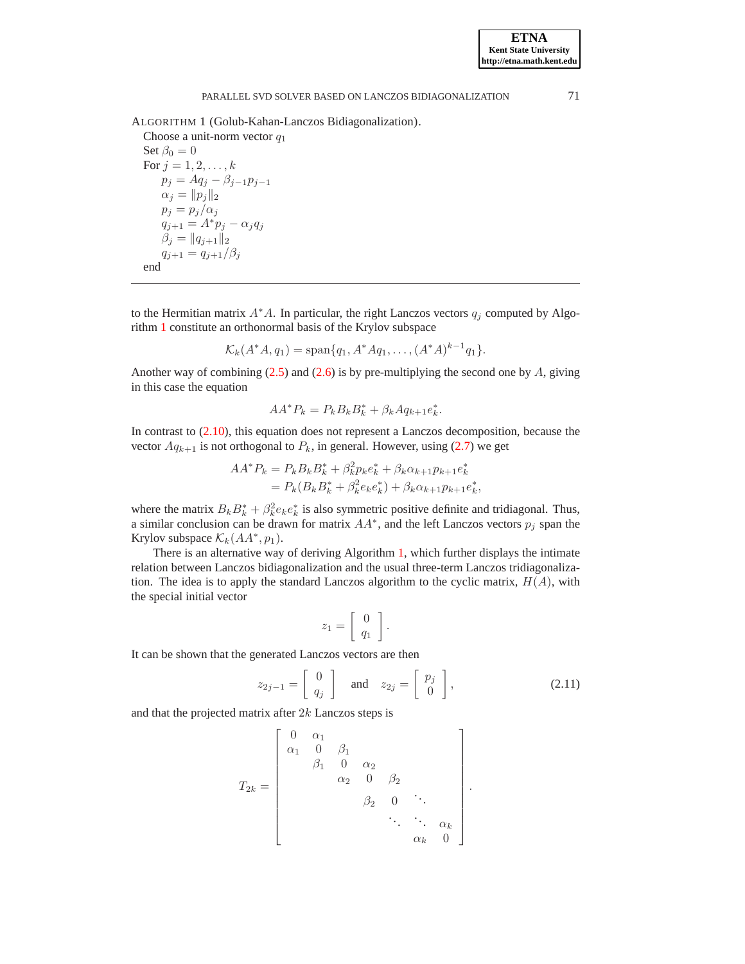<span id="page-3-0"></span>ALGORITHM 1 (Golub-Kahan-Lanczos Bidiagonalization).

Choose a unit-norm vector  $q_1$ Set  $\beta_0 = 0$ For  $j = 1, 2, ..., k$  $p_j = Aq_j - \beta_{j-1}p_{j-1}$  $\alpha_j = ||p_j||_2$  $p_j = p_j/\alpha_j$  $q_{j+1} = A^* p_j - \alpha_j q_j$  $\beta_j = ||q_{j+1}||_2$  $q_{j+1} = q_{j+1}/\beta_j$ end

to the Hermitian matrix  $A^*A$ . In particular, the right Lanczos vectors  $q_i$  computed by Algorithm [1](#page-3-0) constitute an orthonormal basis of the Krylov subspace

$$
\mathcal{K}_k(A^*A, q_1) = \text{span}\{q_1, A^*Aq_1, \dots, (A^*A)^{k-1}q_1\}.
$$

Another way of combining  $(2.5)$  and  $(2.6)$  is by pre-multiplying the second one by A, giving in this case the equation

$$
AA^*P_k = P_kB_kB_k^* + \beta_kAq_{k+1}e_k^*.
$$

In contrast to [\(2.10\)](#page-2-3), this equation does not represent a Lanczos decomposition, because the vector  $Aq_{k+1}$  is not orthogonal to  $P_k$ , in general. However, using [\(2.7\)](#page-2-4) we get

$$
AA^*P_k = P_kB_kB_k^* + \beta_k^2 p_k e_k^* + \beta_k \alpha_{k+1} p_{k+1} e_k^*
$$
  
=  $P_k (B_k B_k^* + \beta_k^2 e_k e_k^*) + \beta_k \alpha_{k+1} p_{k+1} e_k^*,$ 

where the matrix  $B_k B_k^* + \beta_k^2 e_k e_k^*$  $\stackrel{*}{\phantom{*}}_k$  is also symmetric positive definite and tridiagonal. Thus, a similar conclusion can be drawn for matrix  $AA^*$ , and the left Lanczos vectors  $p_j$  span the Krylov subspace  $\mathcal{K}_k(AA^*, p_1)$ .

There is an alternative way of deriving Algorithm [1,](#page-3-0) which further displays the intimate relation between Lanczos bidiagonalization and the usual three-term Lanczos tridiagonalization. The idea is to apply the standard Lanczos algorithm to the cyclic matrix,  $H(A)$ , with the special initial vector

$$
z_1 = \left[ \begin{array}{c} 0 \\ q_1 \end{array} \right].
$$

<span id="page-3-1"></span>It can be shown that the generated Lanczos vectors are then

$$
z_{2j-1} = \begin{bmatrix} 0 \\ q_j \end{bmatrix} \quad \text{and} \quad z_{2j} = \begin{bmatrix} p_j \\ 0 \end{bmatrix}, \tag{2.11}
$$

and that the projected matrix after 2k Lanczos steps is

$$
T_{2k} = \begin{bmatrix} 0 & \alpha_1 & & & & \\ \alpha_1 & 0 & \beta_1 & & & \\ & \beta_1 & 0 & \alpha_2 & & \\ & & \alpha_2 & 0 & \beta_2 & \\ & & & \beta_2 & 0 & \ddots & \\ & & & & \ddots & \ddots & \alpha_k \\ & & & & & \alpha_k & 0 \end{bmatrix}.
$$

**ETNA Kent State University http://etna.math.kent.edu**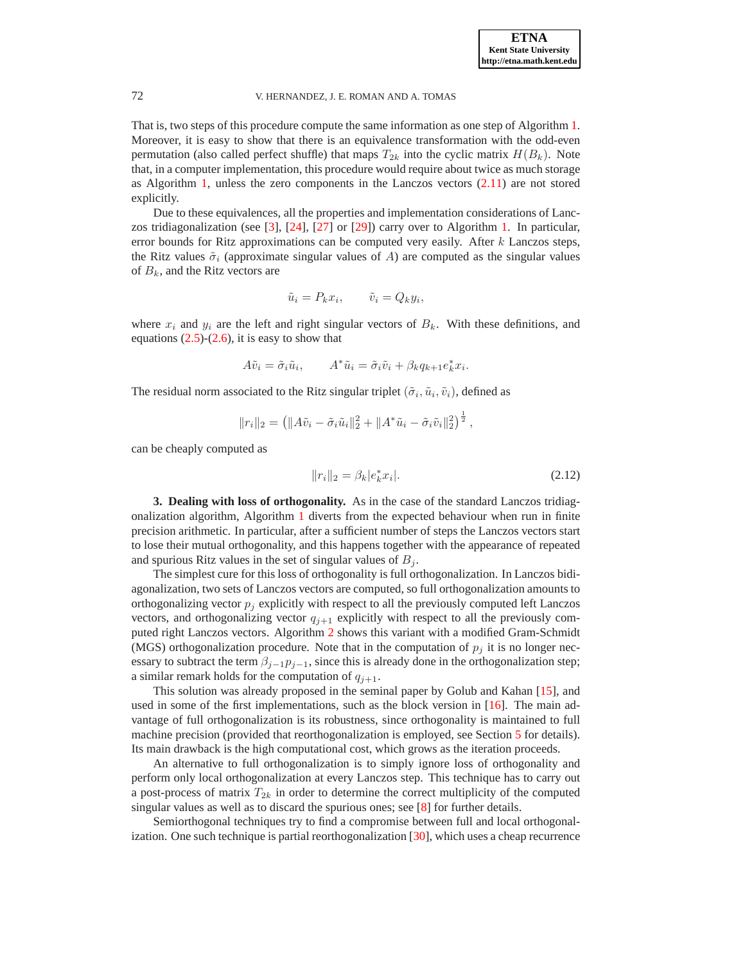That is, two steps of this procedure compute the same information as one step of Algorithm [1.](#page-3-0) Moreover, it is easy to show that there is an equivalence transformation with the odd-even permutation (also called perfect shuffle) that maps  $T_{2k}$  into the cyclic matrix  $H(B_k)$ . Note that, in a computer implementation, this procedure would require about twice as much storage as Algorithm [1,](#page-3-0) unless the zero components in the Lanczos vectors [\(2.11\)](#page-3-1) are not stored explicitly.

Due to these equivalences, all the properties and implementation considerations of Lanczos tridiagonalization (see [\[3\]](#page-16-10), [\[24\]](#page-17-2), [\[27\]](#page-17-3) or [\[29\]](#page-17-4)) carry over to Algorithm [1.](#page-3-0) In particular, error bounds for Ritz approximations can be computed very easily. After  $k$  Lanczos steps, the Ritz values  $\tilde{\sigma}_i$  (approximate singular values of A) are computed as the singular values of  $B_k$ , and the Ritz vectors are

$$
\tilde{u}_i = P_k x_i, \qquad \tilde{v}_i = Q_k y_i,
$$

where  $x_i$  and  $y_i$  are the left and right singular vectors of  $B_k$ . With these definitions, and equations  $(2.5)-(2.6)$  $(2.5)-(2.6)$ , it is easy to show that

$$
A\tilde{v}_i = \tilde{\sigma}_i \tilde{u}_i, \qquad A^* \tilde{u}_i = \tilde{\sigma}_i \tilde{v}_i + \beta_k q_{k+1} e_k^* x_i.
$$

The residual norm associated to the Ritz singular triplet  $(\tilde{\sigma}_i, \tilde{u}_i, \tilde{v}_i)$ , defined as

<span id="page-4-0"></span>
$$
||r_i||_2 = (||A\tilde{v}_i - \tilde{\sigma}_i \tilde{u}_i||_2^2 + ||A^* \tilde{u}_i - \tilde{\sigma}_i \tilde{v}_i||_2^2)^{\frac{1}{2}},
$$

can be cheaply computed as

$$
||r_i||_2 = \beta_k |e_k^* x_i|.
$$
 (2.12)

**3. Dealing with loss of orthogonality.** As in the case of the standard Lanczos tridiagonalization algorithm, Algorithm [1](#page-3-0) diverts from the expected behaviour when run in finite precision arithmetic. In particular, after a sufficient number of steps the Lanczos vectors start to lose their mutual orthogonality, and this happens together with the appearance of repeated and spurious Ritz values in the set of singular values of  $B_i$ .

The simplest cure for this loss of orthogonality is full orthogonalization. In Lanczos bidiagonalization, two sets of Lanczos vectors are computed, so full orthogonalization amounts to orthogonalizing vector  $p_i$  explicitly with respect to all the previously computed left Lanczos vectors, and orthogonalizing vector  $q_{i+1}$  explicitly with respect to all the previously computed right Lanczos vectors. Algorithm [2](#page-5-0) shows this variant with a modified Gram-Schmidt (MGS) orthogonalization procedure. Note that in the computation of  $p_j$  it is no longer necessary to subtract the term  $\beta_{j-1}p_{j-1}$ , since this is already done in the orthogonalization step; a similar remark holds for the computation of  $q_{j+1}$ .

This solution was already proposed in the seminal paper by Golub and Kahan [\[15\]](#page-16-8), and used in some of the first implementations, such as the block version in  $[16]$ . The main advantage of full orthogonalization is its robustness, since orthogonality is maintained to full machine precision (provided that reorthogonalization is employed, see Section [5](#page-8-0) for details). Its main drawback is the high computational cost, which grows as the iteration proceeds.

An alternative to full orthogonalization is to simply ignore loss of orthogonality and perform only local orthogonalization at every Lanczos step. This technique has to carry out a post-process of matrix  $T_{2k}$  in order to determine the correct multiplicity of the computed singular values as well as to discard the spurious ones; see [\[8\]](#page-16-11) for further details.

Semiorthogonal techniques try to find a compromise between full and local orthogonalization. One such technique is partial reorthogonalization [\[30\]](#page-17-5), which uses a cheap recurrence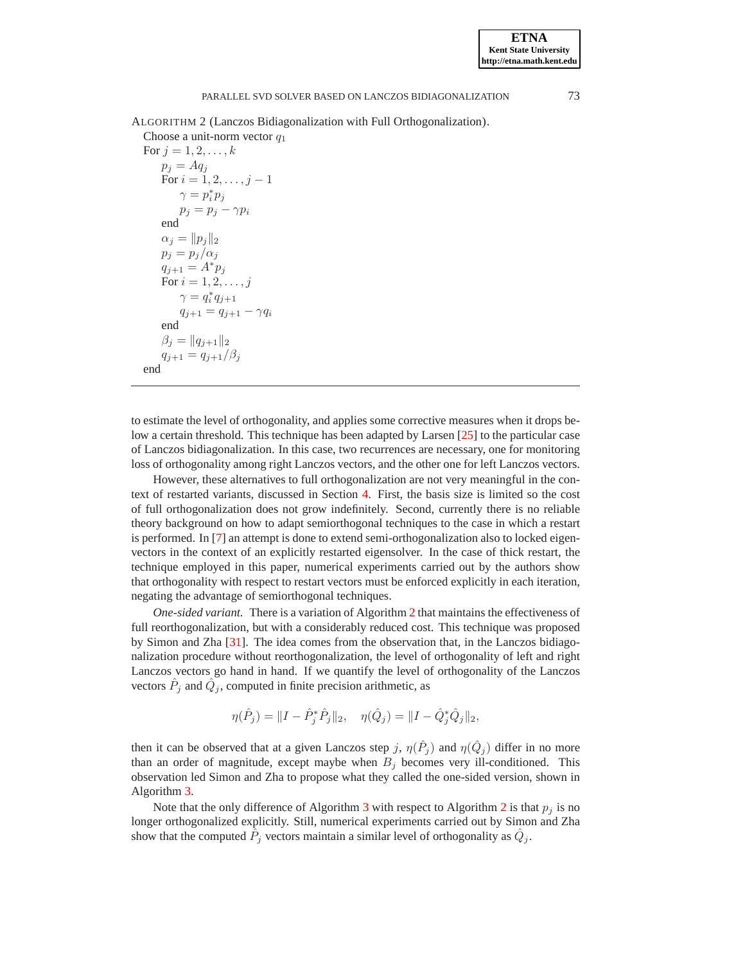<span id="page-5-0"></span>ALGORITHM 2 (Lanczos Bidiagonalization with Full Orthogonalization).

Choose a unit-norm vector  $q_1$ For  $j = 1, 2, ..., k$  $p_i = Aq_i$ For  $i = 1, 2, ..., j - 1$  $\gamma=p_i^*p_j$  $p_j = p_j - \gamma p_i$ end  $\alpha_j = ||p_j||_2$  $p_j = p_j/\alpha_j$  $q_{j+1} = A^* p_j$ For  $i = 1, 2, ..., j$  $\gamma = q_i^* q_{j+1}$  $q_{j+1} = q_{j+1} - \gamma q_i$ end  $\beta_j = ||q_{j+1}||_2$  $q_{j+1} = q_{j+1}/\beta_j$ end

to estimate the level of orthogonality, and applies some corrective measures when it drops below a certain threshold. This technique has been adapted by Larsen [\[25\]](#page-17-0) to the particular case of Lanczos bidiagonalization. In this case, two recurrences are necessary, one for monitoring loss of orthogonality among right Lanczos vectors, and the other one for left Lanczos vectors.

However, these alternatives to full orthogonalization are not very meaningful in the context of restarted variants, discussed in Section [4.](#page-6-0) First, the basis size is limited so the cost of full orthogonalization does not grow indefinitely. Second, currently there is no reliable theory background on how to adapt semiorthogonal techniques to the case in which a restart is performed. In [\[7\]](#page-16-12) an attempt is done to extend semi-orthogonalization also to locked eigenvectors in the context of an explicitly restarted eigensolver. In the case of thick restart, the technique employed in this paper, numerical experiments carried out by the authors show that orthogonality with respect to restart vectors must be enforced explicitly in each iteration, negating the advantage of semiorthogonal techniques.

*One-sided variant.* There is a variation of Algorithm [2](#page-5-0) that maintains the effectiveness of full reorthogonalization, but with a considerably reduced cost. This technique was proposed by Simon and Zha [\[31\]](#page-17-6). The idea comes from the observation that, in the Lanczos bidiagonalization procedure without reorthogonalization, the level of orthogonality of left and right Lanczos vectors go hand in hand. If we quantify the level of orthogonality of the Lanczos vectors  $\hat{P}_j$  and  $\hat{Q}_j$ , computed in finite precision arithmetic, as

$$
\eta(\hat{P}_j) = \|I - \hat{P}_j^*\hat{P}_j\|_2, \quad \eta(\hat{Q}_j) = \|I - \hat{Q}_j^*\hat{Q}_j\|_2,
$$

then it can be observed that at a given Lanczos step j,  $\eta(\hat{P}_j)$  and  $\eta(\hat{Q}_j)$  differ in no more than an order of magnitude, except maybe when  $B_j$  becomes very ill-conditioned. This observation led Simon and Zha to propose what they called the one-sided version, shown in Algorithm [3.](#page-6-1)

Note that the only difference of Algorithm [3](#page-6-1) with respect to Algorithm [2](#page-5-0) is that  $p_i$  is no longer orthogonalized explicitly. Still, numerical experiments carried out by Simon and Zha show that the computed  $\tilde{P}_j$  vectors maintain a similar level of orthogonality as  $\hat{Q}_j$ .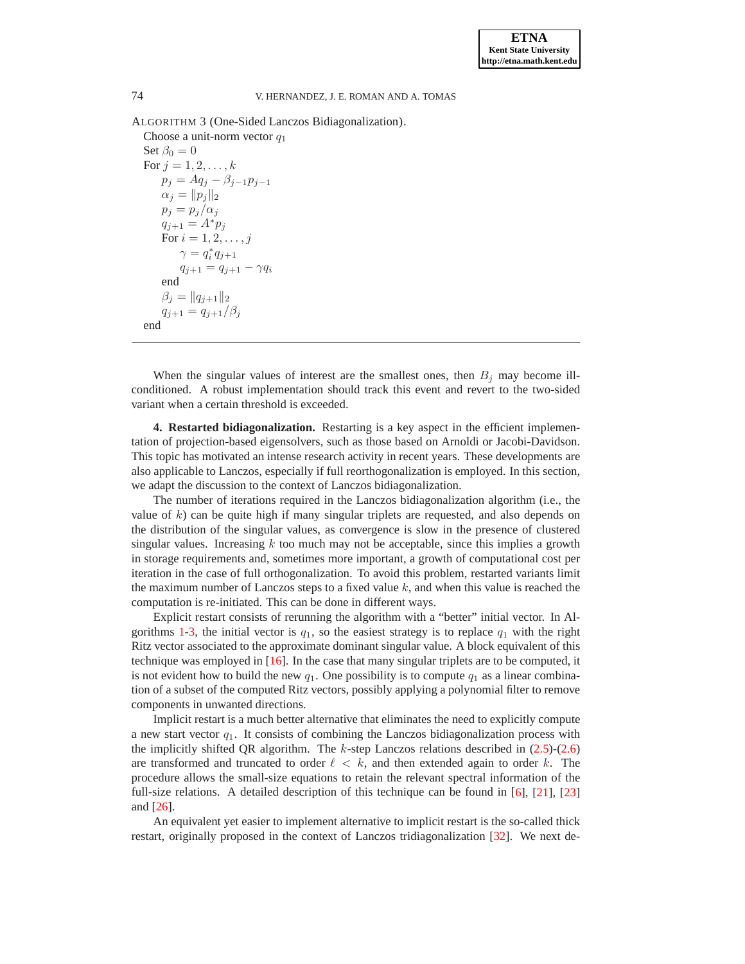ALGORITHM 3 (One-Sided Lanczos Bidiagonalization).

Choose a unit-norm vector  $q_1$ Set  $\beta_0 = 0$ For  $j = 1, 2, ..., k$  $p_j = Aq_j - \beta_{j-1}p_{j-1}$  $\alpha_j = ||p_j||_2$  $p_j = p_j/\alpha_j$  $q_{j+1} = A^* p_j$ For  $i = 1, 2, ..., j$  $\gamma = q_i^* q_{j+1}$  $q_{j+1} = q_{j+1} - \gamma q_i$ end  $\beta_j = ||q_{j+1}||_2$  $q_{j+1} = q_{j+1}/\beta_j$ end

When the singular values of interest are the smallest ones, then  $B_i$  may become illconditioned. A robust implementation should track this event and revert to the two-sided variant when a certain threshold is exceeded.

<span id="page-6-0"></span>**4. Restarted bidiagonalization.** Restarting is a key aspect in the efficient implementation of projection-based eigensolvers, such as those based on Arnoldi or Jacobi-Davidson. This topic has motivated an intense research activity in recent years. These developments are also applicable to Lanczos, especially if full reorthogonalization is employed. In this section, we adapt the discussion to the context of Lanczos bidiagonalization.

The number of iterations required in the Lanczos bidiagonalization algorithm (i.e., the value of  $k$ ) can be quite high if many singular triplets are requested, and also depends on the distribution of the singular values, as convergence is slow in the presence of clustered singular values. Increasing  $k$  too much may not be acceptable, since this implies a growth in storage requirements and, sometimes more important, a growth of computational cost per iteration in the case of full orthogonalization. To avoid this problem, restarted variants limit the maximum number of Lanczos steps to a fixed value  $k$ , and when this value is reached the computation is re-initiated. This can be done in different ways.

Explicit restart consists of rerunning the algorithm with a "better" initial vector. In Al-gorithms [1](#page-3-0)[-3,](#page-6-1) the initial vector is  $q_1$ , so the easiest strategy is to replace  $q_1$  with the right Ritz vector associated to the approximate dominant singular value. A block equivalent of this technique was employed in  $[16]$ . In the case that many singular triplets are to be computed, it is not evident how to build the new  $q_1$ . One possibility is to compute  $q_1$  as a linear combination of a subset of the computed Ritz vectors, possibly applying a polynomial filter to remove components in unwanted directions.

Implicit restart is a much better alternative that eliminates the need to explicitly compute a new start vector  $q_1$ . It consists of combining the Lanczos bidiagonalization process with the implicitly shifted QR algorithm. The  $k$ -step Lanczos relations described in  $(2.5)-(2.6)$  $(2.5)-(2.6)$ are transformed and truncated to order  $\ell \leq k$ , and then extended again to order k. The procedure allows the small-size equations to retain the relevant spectral information of the full-size relations. A detailed description of this technique can be found in [\[6\]](#page-16-13), [\[21\]](#page-16-14), [\[23\]](#page-16-15) and [\[26\]](#page-17-1).

An equivalent yet easier to implement alternative to implicit restart is the so-called thick restart, originally proposed in the context of Lanczos tridiagonalization [\[32\]](#page-17-7). We next de-

<span id="page-6-1"></span>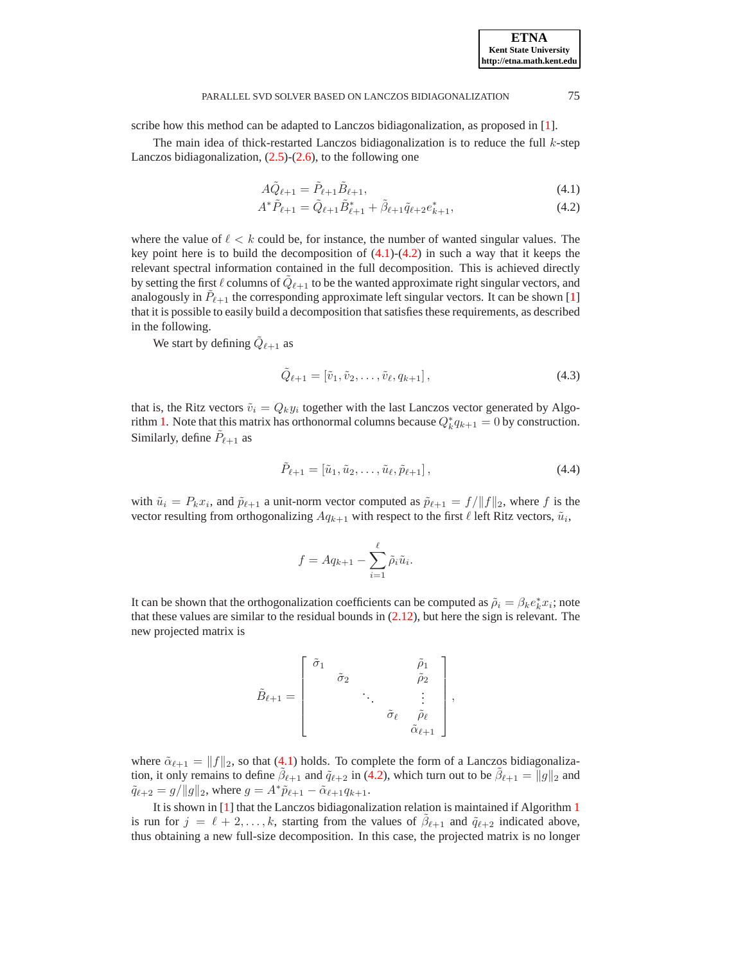scribe how this method can be adapted to Lanczos bidiagonalization, as proposed in [\[1\]](#page-16-7).

<span id="page-7-0"></span>The main idea of thick-restarted Lanczos bidiagonalization is to reduce the full  $k$ -step Lanczos bidiagonalization,  $(2.5)-(2.6)$  $(2.5)-(2.6)$ , to the following one

$$
A\tilde{Q}_{\ell+1} = \tilde{P}_{\ell+1}\tilde{B}_{\ell+1},\tag{4.1}
$$

$$
A^* \tilde{P}_{\ell+1} = \tilde{Q}_{\ell+1} \tilde{B}_{\ell+1}^* + \tilde{\beta}_{\ell+1} \tilde{q}_{\ell+2} e_{k+1}^*,\tag{4.2}
$$

where the value of  $\ell < k$  could be, for instance, the number of wanted singular values. The key point here is to build the decomposition of  $(4.1)-(4.2)$  $(4.1)-(4.2)$  in such a way that it keeps the relevant spectral information contained in the full decomposition. This is achieved directly by setting the first  $\ell$  columns of  $\tilde{Q}_{\ell+1}$  to be the wanted approximate right singular vectors, and analogously in  $\tilde{P}_{\ell+1}$  the corresponding approximate left singular vectors. It can be shown [\[1\]](#page-16-7) that it is possible to easily build a decomposition that satisfies these requirements, as described in the following.

<span id="page-7-1"></span>We start by defining  $\tilde{Q}_{\ell+1}$  as

$$
\tilde{Q}_{\ell+1} = [\tilde{v}_1, \tilde{v}_2, \dots, \tilde{v}_{\ell}, q_{k+1}], \qquad (4.3)
$$

that is, the Ritz vectors  $\tilde{v}_i = Q_k y_i$  together with the last Lanczos vector generated by Algo-rithm [1.](#page-3-0) Note that this matrix has orthonormal columns because  $Q_k^* q_{k+1} = 0$  by construction. Similarly, define  $\tilde{P}_{\ell+1}$  as

$$
\tilde{P}_{\ell+1} = [\tilde{u}_1, \tilde{u}_2, \dots, \tilde{u}_{\ell}, \tilde{p}_{\ell+1}], \qquad (4.4)
$$

<span id="page-7-2"></span>with  $\tilde{u}_i = P_k x_i$ , and  $\tilde{p}_{\ell+1}$  a unit-norm vector computed as  $\tilde{p}_{\ell+1} = f/||f||_2$ , where f is the vector resulting from orthogonalizing  $Aq_{k+1}$  with respect to the first  $\ell$  left Ritz vectors,  $\tilde{u}_i$ ,

$$
f = Aq_{k+1} - \sum_{i=1}^{\ell} \tilde{\rho}_i \tilde{u}_i.
$$

It can be shown that the orthogonalization coefficients can be computed as  $\tilde{\rho}_i = \beta_k e_k^* x_i$ ; note that these values are similar to the residual bounds in [\(2.12\)](#page-4-0), but here the sign is relevant. The new projected matrix is

$$
\tilde{B}_{\ell+1} = \begin{bmatrix}\n\tilde{\sigma}_1 & & & & \tilde{\rho}_1 \\
& \tilde{\sigma}_2 & & & \tilde{\rho}_2 \\
& & \ddots & & \vdots \\
& & & \tilde{\sigma}_{\ell} & \tilde{\rho}_{\ell} \\
& & & & \tilde{\alpha}_{\ell+1}\n\end{bmatrix},
$$

where  $\tilde{\alpha}_{\ell+1} = ||f||_2$ , so that [\(4.1\)](#page-7-0) holds. To complete the form of a Lanczos bidiagonalization, it only remains to define  $\tilde{\beta}_{\ell+1}$  and  $\tilde{q}_{\ell+2}$  in [\(4.2\)](#page-7-0), which turn out to be  $\tilde{\beta}_{\ell+1} = ||g||_2$  and  $\tilde{q}_{\ell+2} = g/\|g\|_2$ , where  $g = A^*\tilde{p}_{\ell+1} - \tilde{\alpha}_{\ell+1}q_{k+1}$ .

It is shown in [\[1\]](#page-16-7) that the Lanczos bidiagonalization relation is maintained if Algorithm [1](#page-3-0) is run for  $j = \ell + 2, \ldots, k$ , starting from the values of  $\tilde{\beta}_{\ell+1}$  and  $\tilde{q}_{\ell+2}$  indicated above, thus obtaining a new full-size decomposition. In this case, the projected matrix is no longer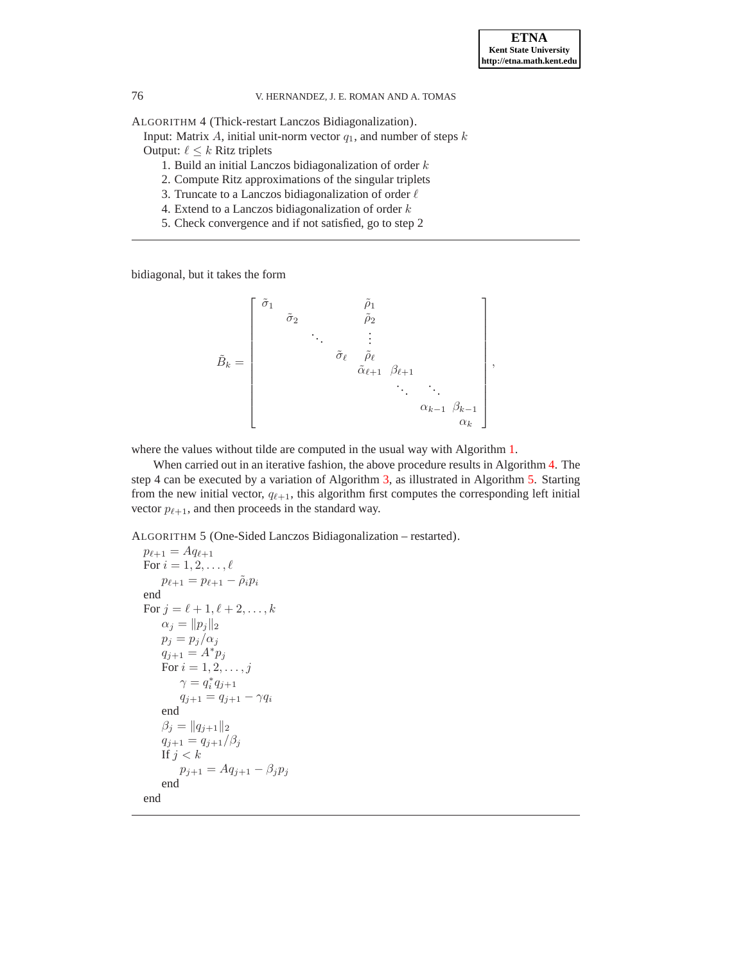ALGORITHM 4 (Thick-restart Lanczos Bidiagonalization).

Input: Matrix A, initial unit-norm vector  $q_1$ , and number of steps k

- Output:  $\ell \leq k$  Ritz triplets
	- 1. Build an initial Lanczos bidiagonalization of order  $k$
	- 2. Compute Ritz approximations of the singular triplets
	- 3. Truncate to a Lanczos bidiagonalization of order  $\ell$
	- 4. Extend to a Lanczos bidiagonalization of order  $k$
	- 5. Check convergence and if not satisfied, go to step 2

bidiagonal, but it takes the form

$$
\tilde{B}_k = \begin{bmatrix}\n\tilde{\sigma}_1 & \tilde{\rho}_1 & & & \\
\tilde{\sigma}_2 & \tilde{\rho}_2 & & & \\
 & \ddots & \vdots & & \\
 & \tilde{\sigma}_\ell & \tilde{\rho}_\ell & \\
 & \tilde{\alpha}_{\ell+1} & \beta_{\ell+1} & \\
 & \ddots & \ddots & \vdots & \\
 & \alpha_{k-1} & \beta_{k-1} & \\
 & \alpha_k\n\end{bmatrix},
$$

where the values without tilde are computed in the usual way with Algorithm [1.](#page-3-0)

When carried out in an iterative fashion, the above procedure results in Algorithm [4.](#page-8-1) The step 4 can be executed by a variation of Algorithm [3,](#page-6-1) as illustrated in Algorithm [5.](#page-8-2) Starting from the new initial vector,  $q_{\ell+1}$ , this algorithm first computes the corresponding left initial vector  $p_{\ell+1}$ , and then proceeds in the standard way.

<span id="page-8-2"></span>ALGORITHM 5 (One-Sided Lanczos Bidiagonalization – restarted).

```
p_{\ell+1} = A q_{\ell+1}For i = 1, 2, \ldots, \ellp_{\ell+1} = p_{\ell+1} - \tilde{\rho}_i p_iend
For j = \ell + 1, \ell + 2, ..., k\alpha_j = ||p_j||_2p_i = p_i/\alpha_iq_{j+1} = A^* p_jFor i = 1, 2, ..., j\gamma = q_i^* q_{j+1}q_{j+1} = q_{j+1} - \gamma q_iend
     \beta_j = ||q_{j+1}||_2q_{j+1} = q_{j+1}/\beta_jIf j < kp_{j+1} = Aq_{j+1} - \beta_j p_jend
end
```
<span id="page-8-1"></span>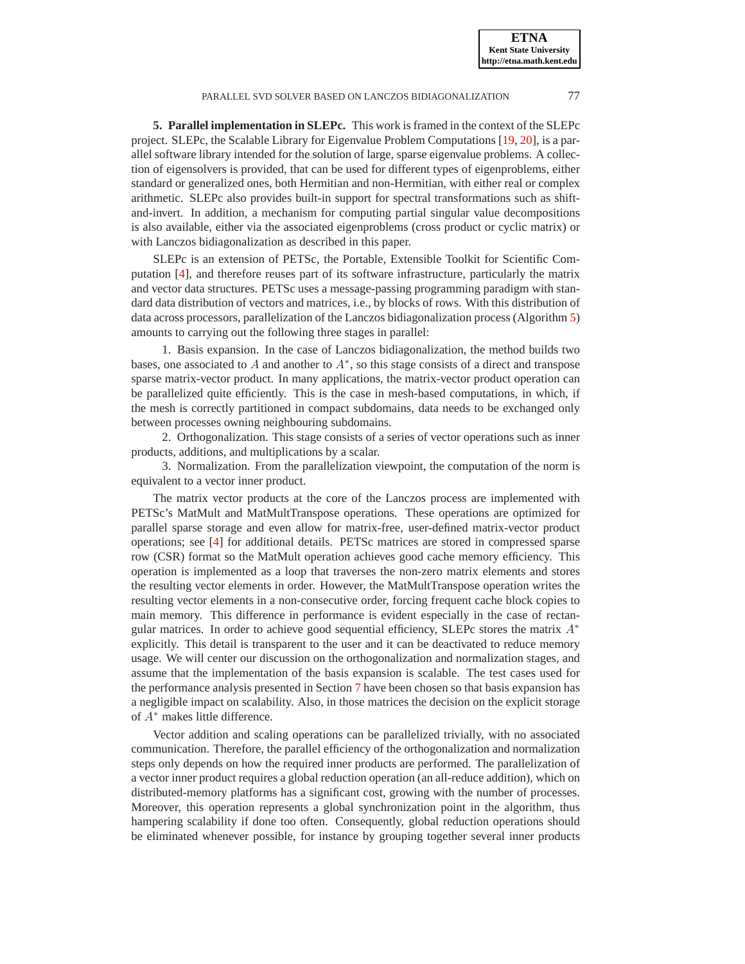**5. Parallel implementation in SLEPc.** This work is framed in the context of the SLEPc project. SLEPc, the Scalable Library for Eigenvalue Problem Computations [\[19,](#page-16-4) [20\]](#page-16-5), is a parallel software library intended for the solution of large, sparse eigenvalue problems. A collection of eigensolvers is provided, that can be used for different types of eigenproblems, either standard or generalized ones, both Hermitian and non-Hermitian, with either real or complex arithmetic. SLEPc also provides built-in support for spectral transformations such as shiftand-invert. In addition, a mechanism for computing partial singular value decompositions is also available, either via the associated eigenproblems (cross product or cyclic matrix) or with Lanczos bidiagonalization as described in this paper.

SLEPc is an extension of PETSc, the Portable, Extensible Toolkit for Scientific Computation [\[4\]](#page-16-16), and therefore reuses part of its software infrastructure, particularly the matrix and vector data structures. PETSc uses a message-passing programming paradigm with standard data distribution of vectors and matrices, i.e., by blocks of rows. With this distribution of data across processors, parallelization of the Lanczos bidiagonalization process (Algorithm [5\)](#page-8-2) amounts to carrying out the following three stages in parallel:

1. Basis expansion. In the case of Lanczos bidiagonalization, the method builds two bases, one associated to A and another to  $A^*$ , so this stage consists of a direct and transpose sparse matrix-vector product. In many applications, the matrix-vector product operation can be parallelized quite efficiently. This is the case in mesh-based computations, in which, if the mesh is correctly partitioned in compact subdomains, data needs to be exchanged only between processes owning neighbouring subdomains.

2. Orthogonalization. This stage consists of a series of vector operations such as inner products, additions, and multiplications by a scalar.

3. Normalization. From the parallelization viewpoint, the computation of the norm is equivalent to a vector inner product.

The matrix vector products at the core of the Lanczos process are implemented with PETSc's MatMult and MatMultTranspose operations. These operations are optimized for parallel sparse storage and even allow for matrix-free, user-defined matrix-vector product operations; see [\[4\]](#page-16-16) for additional details. PETSc matrices are stored in compressed sparse row (CSR) format so the MatMult operation achieves good cache memory efficiency. This operation is implemented as a loop that traverses the non-zero matrix elements and stores the resulting vector elements in order. However, the MatMultTranspose operation writes the resulting vector elements in a non-consecutive order, forcing frequent cache block copies to main memory. This difference in performance is evident especially in the case of rectangular matrices. In order to achieve good sequential efficiency, SLEPc stores the matrix  $A^*$ explicitly. This detail is transparent to the user and it can be deactivated to reduce memory usage. We will center our discussion on the orthogonalization and normalization stages, and assume that the implementation of the basis expansion is scalable. The test cases used for the performance analysis presented in Section [7](#page-13-0) have been chosen so that basis expansion has a negligible impact on scalability. Also, in those matrices the decision on the explicit storage of A<sup>∗</sup> makes little difference.

Vector addition and scaling operations can be parallelized trivially, with no associated communication. Therefore, the parallel efficiency of the orthogonalization and normalization steps only depends on how the required inner products are performed. The parallelization of a vector inner product requires a global reduction operation (an all-reduce addition), which on distributed-memory platforms has a significant cost, growing with the number of processes. Moreover, this operation represents a global synchronization point in the algorithm, thus hampering scalability if done too often. Consequently, global reduction operations should be eliminated whenever possible, for instance by grouping together several inner products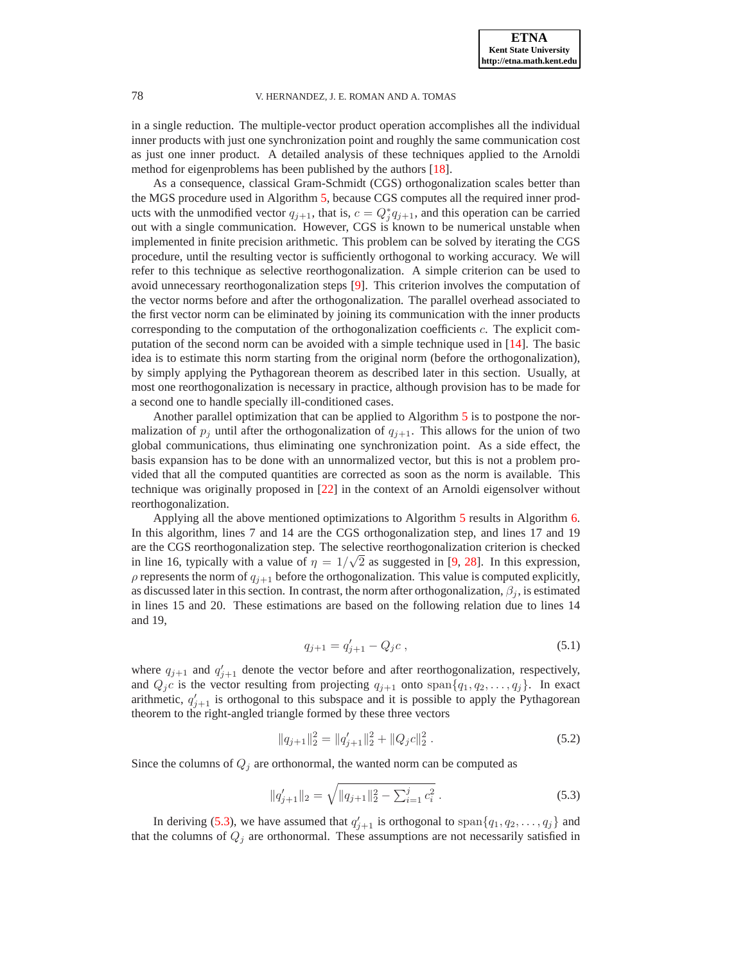in a single reduction. The multiple-vector product operation accomplishes all the individual inner products with just one synchronization point and roughly the same communication cost as just one inner product. A detailed analysis of these techniques applied to the Arnoldi method for eigenproblems has been published by the authors [\[18\]](#page-16-6).

As a consequence, classical Gram-Schmidt (CGS) orthogonalization scales better than the MGS procedure used in Algorithm [5,](#page-8-2) because CGS computes all the required inner products with the unmodified vector  $q_{j+1}$ , that is,  $c = Q_j^* q_{j+1}$ , and this operation can be carried out with a single communication. However, CGS is known to be numerical unstable when implemented in finite precision arithmetic. This problem can be solved by iterating the CGS procedure, until the resulting vector is sufficiently orthogonal to working accuracy. We will refer to this technique as selective reorthogonalization. A simple criterion can be used to avoid unnecessary reorthogonalization steps [\[9\]](#page-16-17). This criterion involves the computation of the vector norms before and after the orthogonalization. The parallel overhead associated to the first vector norm can be eliminated by joining its communication with the inner products corresponding to the computation of the orthogonalization coefficients c. The explicit computation of the second norm can be avoided with a simple technique used in [\[14\]](#page-16-18). The basic idea is to estimate this norm starting from the original norm (before the orthogonalization), by simply applying the Pythagorean theorem as described later in this section. Usually, at most one reorthogonalization is necessary in practice, although provision has to be made for a second one to handle specially ill-conditioned cases.

Another parallel optimization that can be applied to Algorithm [5](#page-8-2) is to postpone the normalization of  $p_j$  until after the orthogonalization of  $q_{j+1}$ . This allows for the union of two global communications, thus eliminating one synchronization point. As a side effect, the basis expansion has to be done with an unnormalized vector, but this is not a problem provided that all the computed quantities are corrected as soon as the norm is available. This technique was originally proposed in [\[22\]](#page-16-19) in the context of an Arnoldi eigensolver without reorthogonalization.

Applying all the above mentioned optimizations to Algorithm [5](#page-8-2) results in Algorithm [6.](#page-11-0) In this algorithm, lines 7 and 14 are the CGS orthogonalization step, and lines 17 and 19 are the CGS reorthogonalization step. The selective reorthogonalization criterion is checked in line 16, typically with a value of  $\eta = 1/\sqrt{2}$  as suggested in [\[9,](#page-16-17) [28\]](#page-17-8). In this expression,  $\rho$  represents the norm of  $q_{i+1}$  before the orthogonalization. This value is computed explicitly, as discussed later in this section. In contrast, the norm after orthogonalization,  $\beta_j$ , is estimated in lines 15 and 20. These estimations are based on the following relation due to lines 14 and 19,

$$
q_{j+1} = q'_{j+1} - Q_j c \,,\tag{5.1}
$$

where  $q_{j+1}$  and  $q'_{j+1}$  denote the vector before and after reorthogonalization, respectively, and  $Q_j c$  is the vector resulting from projecting  $q_{j+1}$  onto  $\text{span}{q_1, q_2, \ldots, q_j}$ . In exact arithmetic,  $q'_{j+1}$  is orthogonal to this subspace and it is possible to apply the Pythagorean theorem to the right-angled triangle formed by these three vectors

$$
||q_{j+1}||_2^2 = ||q_{j+1}'||_2^2 + ||Q_j c||_2^2.
$$
 (5.2)

Since the columns of  $Q_j$  are orthonormal, the wanted norm can be computed as

$$
||q'_{j+1}||_2 = \sqrt{||q_{j+1}||_2^2 - \sum_{i=1}^j c_i^2}.
$$
\n(5.3)

<span id="page-10-0"></span>In deriving [\(5.3\)](#page-10-0), we have assumed that  $q'_{j+1}$  is orthogonal to span $\{q_1, q_2, \ldots, q_j\}$  and that the columns of  $Q_j$  are orthonormal. These assumptions are not necessarily satisfied in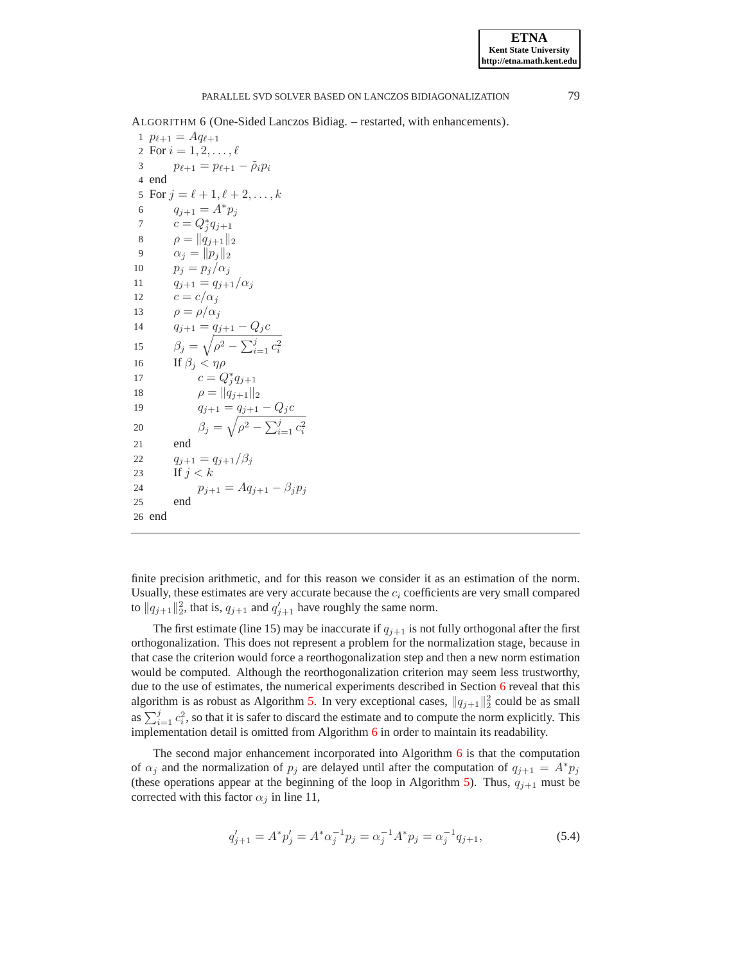<span id="page-11-0"></span>ALGORITHM 6 (One-Sided Lanczos Bidiag. – restarted, with enhancements).

 $p_{\ell+1} = A q_{\ell+1}$ 2 For  $i = 1, 2, ..., \ell$  $p_{\ell+1} = p_{\ell+1} - \tilde{\rho}_i p_i$ 4 end 5 For  $j = \ell + 1, \ell + 2, ..., k$  $q_{j+1} = A^* p_j$  $c = Q_j^* q_{j+1}$  $\rho = ||q_{j+1}||_2$  $\alpha_j = ||p_j||_2$  $p_i = p_i/\alpha_i$  $q_{j+1} = q_{j+1}/\alpha_j$  $c = c/\alpha_i$  $\rho = \rho/\alpha_j$  $q_{j+1} = \underline{q_{j+1} - Q_j c}$  $\beta_j = \sqrt{\rho^2 - \sum_{i=1}^j c_i^2}$ 16 If  $\beta_i < \eta \rho$  $c = Q_j^* q_{j+1}$  $\rho = ||\dot{q}_{j+1}||_2$ <br>19  $q_{i+1} = q_{i+1}$  $q_{j+1} = \underline{q_{j+1} - Q_j c}$  $\beta_j = \sqrt{\rho^2 - \sum_{i=1}^j c_i^2}$ 21 end  $q_{j+1} = q_{j+1}/\beta_j$ 23 If  $i < k$  $p_{j+1} = Aq_{j+1} - \beta_j p_j$ <br>25 end end 26 end

finite precision arithmetic, and for this reason we consider it as an estimation of the norm. Usually, these estimates are very accurate because the  $c_i$  coefficients are very small compared to  $||q_{j+1}||_2^2$ , that is,  $q_{j+1}$  and  $q'_{j+1}$  have roughly the same norm.

The first estimate (line 15) may be inaccurate if  $q_{i+1}$  is not fully orthogonal after the first orthogonalization. This does not represent a problem for the normalization stage, because in that case the criterion would force a reorthogonalization step and then a new norm estimation would be computed. Although the reorthogonalization criterion may seem less trustworthy, due to the use of estimates, the numerical experiments described in Section [6](#page-12-0) reveal that this algorithm is as robust as Algorithm [5.](#page-8-2) In very exceptional cases,  $||q_{j+1}||_2^2$  could be as small as  $\sum_{i=1}^{j} c_i^2$ , so that it is safer to discard the estimate and to compute the norm explicitly. This implementation detail is omitted from Algorithm  $6$  in order to maintain its readability.

The second major enhancement incorporated into Algorithm [6](#page-11-0) is that the computation of  $\alpha_j$  and the normalization of  $p_j$  are delayed until after the computation of  $q_{j+1} = A^*p_j$ (these operations appear at the beginning of the loop in Algorithm [5\)](#page-8-2). Thus,  $q_{i+1}$  must be corrected with this factor  $\alpha_j$  in line 11,

$$
q'_{j+1} = A^* p'_j = A^* \alpha_j^{-1} p_j = \alpha_j^{-1} A^* p_j = \alpha_j^{-1} q_{j+1},
$$
\n(5.4)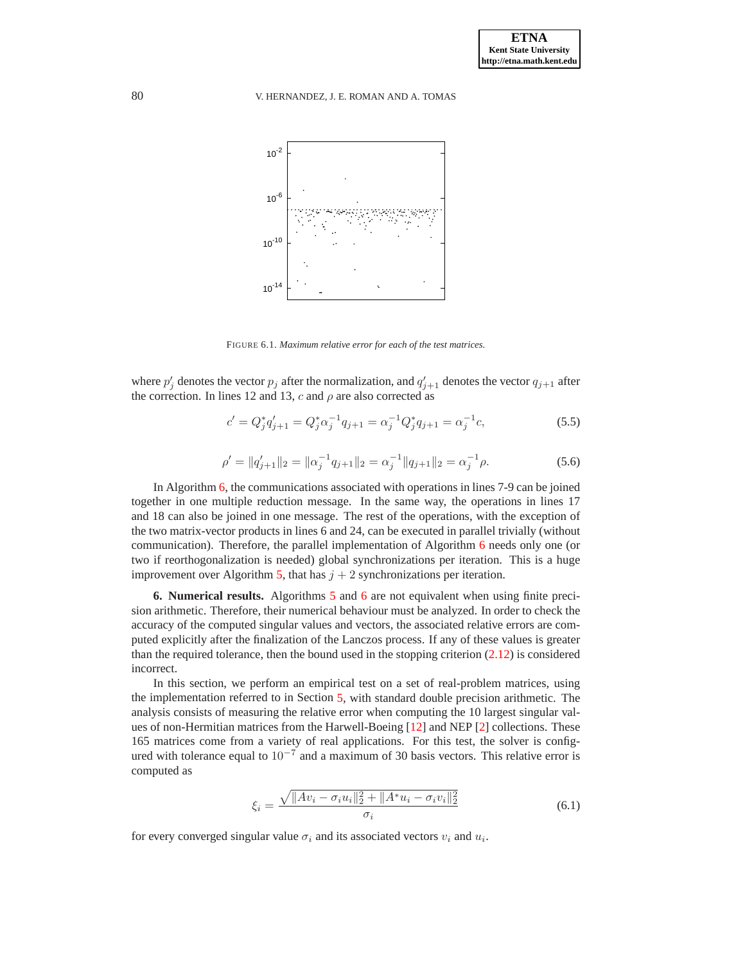

<span id="page-12-1"></span>FIGURE 6.1. *Maximum relative error for each of the test matrices.*

where  $p'_j$  denotes the vector  $p_j$  after the normalization, and  $q'_{j+1}$  denotes the vector  $q_{j+1}$  after the correction. In lines 12 and 13, c and  $\rho$  are also corrected as

$$
c' = Q_j^* q_{j+1}' = Q_j^* \alpha_j^{-1} q_{j+1} = \alpha_j^{-1} Q_j^* q_{j+1} = \alpha_j^{-1} c,\tag{5.5}
$$

$$
\rho' = \|q'_{j+1}\|_2 = \|\alpha_j^{-1} q_{j+1}\|_2 = \alpha_j^{-1} \|q_{j+1}\|_2 = \alpha_j^{-1} \rho.
$$
\n(5.6)

In Algorithm [6,](#page-11-0) the communications associated with operations in lines 7-9 can be joined together in one multiple reduction message. In the same way, the operations in lines 17 and 18 can also be joined in one message. The rest of the operations, with the exception of the two matrix-vector products in lines 6 and 24, can be executed in parallel trivially (without communication). Therefore, the parallel implementation of Algorithm [6](#page-11-0) needs only one (or two if reorthogonalization is needed) global synchronizations per iteration. This is a huge improvement over Algorithm [5,](#page-8-2) that has  $j + 2$  synchronizations per iteration.

<span id="page-12-0"></span>**6. Numerical results.** Algorithms [5](#page-8-2) and [6](#page-11-0) are not equivalent when using finite precision arithmetic. Therefore, their numerical behaviour must be analyzed. In order to check the accuracy of the computed singular values and vectors, the associated relative errors are computed explicitly after the finalization of the Lanczos process. If any of these values is greater than the required tolerance, then the bound used in the stopping criterion  $(2.12)$  is considered incorrect.

In this section, we perform an empirical test on a set of real-problem matrices, using the implementation referred to in Section [5,](#page-8-0) with standard double precision arithmetic. The analysis consists of measuring the relative error when computing the 10 largest singular values of non-Hermitian matrices from the Harwell-Boeing [\[12\]](#page-16-20) and NEP [\[2\]](#page-16-21) collections. These 165 matrices come from a variety of real applications. For this test, the solver is configured with tolerance equal to  $10^{-7}$  and a maximum of 30 basis vectors. This relative error is computed as

$$
\xi_i = \frac{\sqrt{\|Av_i - \sigma_i u_i\|_2^2 + \|A^* u_i - \sigma_i v_i\|_2^2}}{\sigma_i} \tag{6.1}
$$

for every converged singular value  $\sigma_i$  and its associated vectors  $v_i$  and  $u_i$ .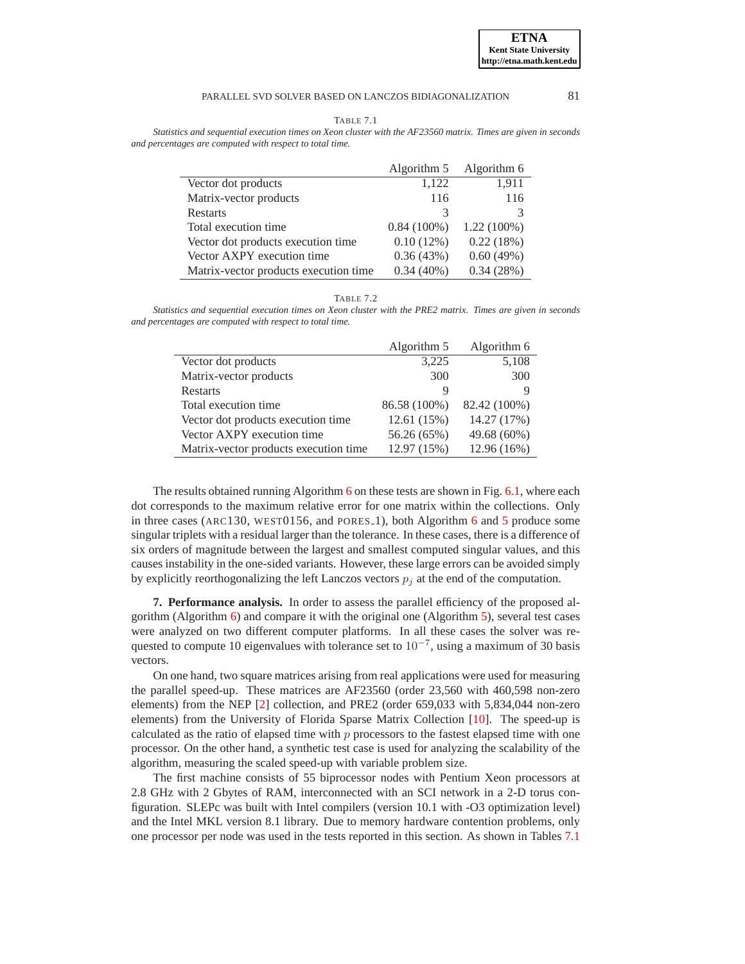**ETNA Kent State University http://etna.math.kent.edu**

<span id="page-13-1"></span>

| TABLE 7.1                                                                                                     |  |  |
|---------------------------------------------------------------------------------------------------------------|--|--|
| Statistics and sequential execution times on Xeon cluster with the AF23560 matrix. Times are given in seconds |  |  |
| and percentages are computed with respect to total time.                                                      |  |  |

|                                       | Algorithm 5   | Algorithm 6   |
|---------------------------------------|---------------|---------------|
| Vector dot products                   | 1,122         | 1,911         |
| Matrix-vector products                | 116           | 116           |
| Restarts                              | 3             | 3             |
| Total execution time                  | $0.84(100\%)$ | $1.22(100\%)$ |
| Vector dot products execution time    | $0.10(12\%)$  | 0.22(18%)     |
| Vector AXPY execution time            | 0.36(43%)     | 0.60(49%)     |
| Matrix-vector products execution time | $0.34(40\%)$  | 0.34(28%)     |

TABLE 7.2

<span id="page-13-2"></span>*Statistics and sequential execution times on Xeon cluster with the PRE2 matrix. Times are given in seconds and percentages are computed with respect to total time.*

|                                       | Algorithm 5  | Algorithm 6  |
|---------------------------------------|--------------|--------------|
| Vector dot products                   | 3,225        | 5,108        |
| Matrix-vector products                | 300          | 300          |
| <b>Restarts</b>                       | Q            |              |
| Total execution time                  | 86.58 (100%) | 82.42 (100%) |
| Vector dot products execution time    | 12.61 (15%)  | 14.27 (17%)  |
| Vector AXPY execution time            | 56.26 (65%)  | 49.68 (60%)  |
| Matrix-vector products execution time | 12.97 (15%)  | 12.96 (16%)  |

The results obtained running Algorithm [6](#page-11-0) on these tests are shown in Fig. [6.1,](#page-12-1) where each dot corresponds to the maximum relative error for one matrix within the collections. Only in three cases (ARC130, WEST0156, and PORES 1), both Algorithm [6](#page-11-0) and [5](#page-8-2) produce some singular triplets with a residual larger than the tolerance. In these cases, there is a difference of six orders of magnitude between the largest and smallest computed singular values, and this causes instability in the one-sided variants. However, these large errors can be avoided simply by explicitly reorthogonalizing the left Lanczos vectors  $p_i$  at the end of the computation.

<span id="page-13-0"></span>**7. Performance analysis.** In order to assess the parallel efficiency of the proposed algorithm (Algorithm [6\)](#page-11-0) and compare it with the original one (Algorithm [5\)](#page-8-2), several test cases were analyzed on two different computer platforms. In all these cases the solver was requested to compute 10 eigenvalues with tolerance set to  $10^{-7}$ , using a maximum of 30 basis vectors.

On one hand, two square matrices arising from real applications were used for measuring the parallel speed-up. These matrices are AF23560 (order 23,560 with 460,598 non-zero elements) from the NEP [\[2\]](#page-16-21) collection, and PRE2 (order 659,033 with 5,834,044 non-zero elements) from the University of Florida Sparse Matrix Collection [\[10\]](#page-16-22). The speed-up is calculated as the ratio of elapsed time with  $p$  processors to the fastest elapsed time with one processor. On the other hand, a synthetic test case is used for analyzing the scalability of the algorithm, measuring the scaled speed-up with variable problem size.

The first machine consists of 55 biprocessor nodes with Pentium Xeon processors at 2.8 GHz with 2 Gbytes of RAM, interconnected with an SCI network in a 2-D torus configuration. SLEPc was built with Intel compilers (version 10.1 with -O3 optimization level) and the Intel MKL version 8.1 library. Due to memory hardware contention problems, only one processor per node was used in the tests reported in this section. As shown in Tables [7.1](#page-13-1)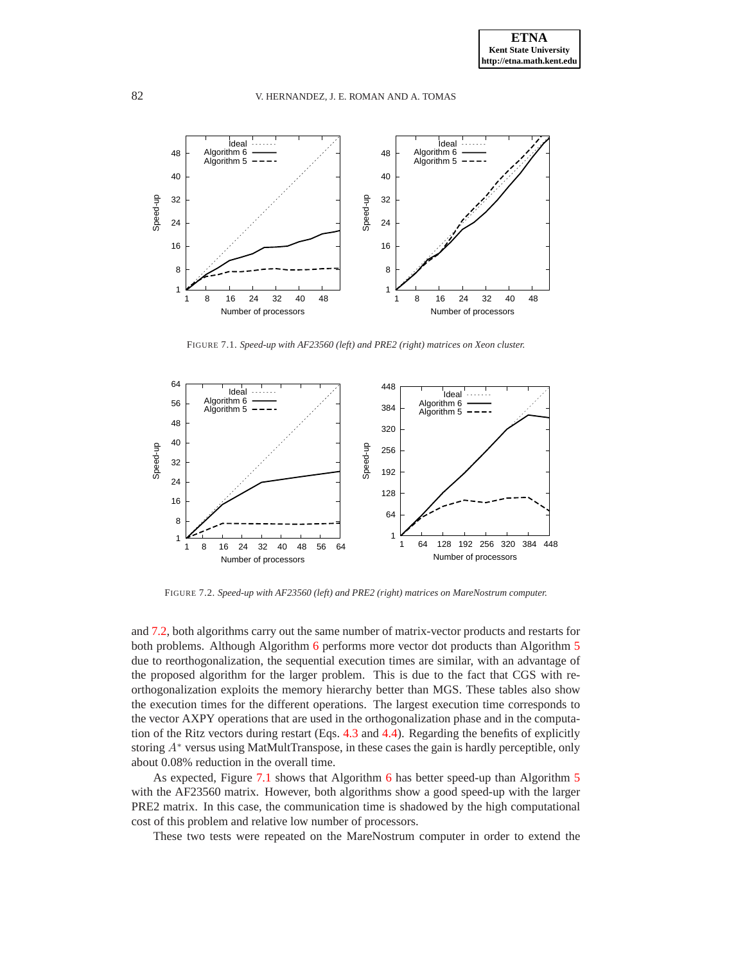

FIGURE 7.1. *Speed-up with AF23560 (left) and PRE2 (right) matrices on Xeon cluster.*

<span id="page-14-0"></span>

FIGURE 7.2. *Speed-up with AF23560 (left) and PRE2 (right) matrices on MareNostrum computer.*

<span id="page-14-1"></span>and [7.2,](#page-13-2) both algorithms carry out the same number of matrix-vector products and restarts for both problems. Although Algorithm [6](#page-11-0) performs more vector dot products than Algorithm [5](#page-8-2) due to reorthogonalization, the sequential execution times are similar, with an advantage of the proposed algorithm for the larger problem. This is due to the fact that CGS with reorthogonalization exploits the memory hierarchy better than MGS. These tables also show the execution times for the different operations. The largest execution time corresponds to the vector AXPY operations that are used in the orthogonalization phase and in the computation of the Ritz vectors during restart (Eqs. [4.3](#page-7-1) and [4.4\)](#page-7-2). Regarding the benefits of explicitly storing A<sup>∗</sup> versus using MatMultTranspose, in these cases the gain is hardly perceptible, only about 0.08% reduction in the overall time.

As expected, Figure [7.1](#page-14-0) shows that Algorithm [6](#page-11-0) has better speed-up than Algorithm [5](#page-8-2) with the AF23560 matrix. However, both algorithms show a good speed-up with the larger PRE2 matrix. In this case, the communication time is shadowed by the high computational cost of this problem and relative low number of processors.

These two tests were repeated on the MareNostrum computer in order to extend the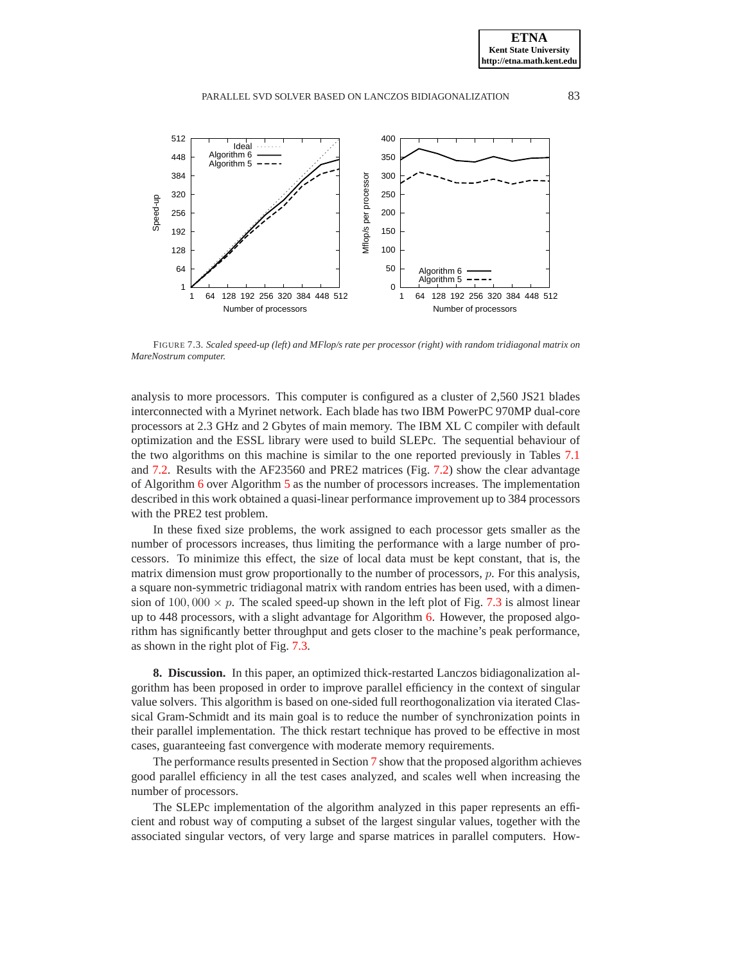

<span id="page-15-0"></span>FIGURE 7.3. *Scaled speed-up (left) and MFlop/s rate per processor (right) with random tridiagonal matrix on MareNostrum computer.*

analysis to more processors. This computer is configured as a cluster of 2,560 JS21 blades interconnected with a Myrinet network. Each blade has two IBM PowerPC 970MP dual-core processors at 2.3 GHz and 2 Gbytes of main memory. The IBM XL C compiler with default optimization and the ESSL library were used to build SLEPc. The sequential behaviour of the two algorithms on this machine is similar to the one reported previously in Tables [7.1](#page-13-1) and [7.2.](#page-13-2) Results with the AF23560 and PRE2 matrices (Fig. [7.2\)](#page-14-1) show the clear advantage of Algorithm [6](#page-11-0) over Algorithm [5](#page-8-2) as the number of processors increases. The implementation described in this work obtained a quasi-linear performance improvement up to 384 processors with the PRE2 test problem.

In these fixed size problems, the work assigned to each processor gets smaller as the number of processors increases, thus limiting the performance with a large number of processors. To minimize this effect, the size of local data must be kept constant, that is, the matrix dimension must grow proportionally to the number of processors, p. For this analysis, a square non-symmetric tridiagonal matrix with random entries has been used, with a dimension of  $100,000 \times p$ . The scaled speed-up shown in the left plot of Fig. [7.3](#page-15-0) is almost linear up to 448 processors, with a slight advantage for Algorithm [6.](#page-11-0) However, the proposed algorithm has significantly better throughput and gets closer to the machine's peak performance, as shown in the right plot of Fig. [7.3.](#page-15-0)

**8. Discussion.** In this paper, an optimized thick-restarted Lanczos bidiagonalization algorithm has been proposed in order to improve parallel efficiency in the context of singular value solvers. This algorithm is based on one-sided full reorthogonalization via iterated Classical Gram-Schmidt and its main goal is to reduce the number of synchronization points in their parallel implementation. The thick restart technique has proved to be effective in most cases, guaranteeing fast convergence with moderate memory requirements.

The performance results presented in Section [7](#page-13-0) show that the proposed algorithm achieves good parallel efficiency in all the test cases analyzed, and scales well when increasing the number of processors.

The SLEPc implementation of the algorithm analyzed in this paper represents an efficient and robust way of computing a subset of the largest singular values, together with the associated singular vectors, of very large and sparse matrices in parallel computers. How-

**ETNA Kent State University http://etna.math.kent.edu**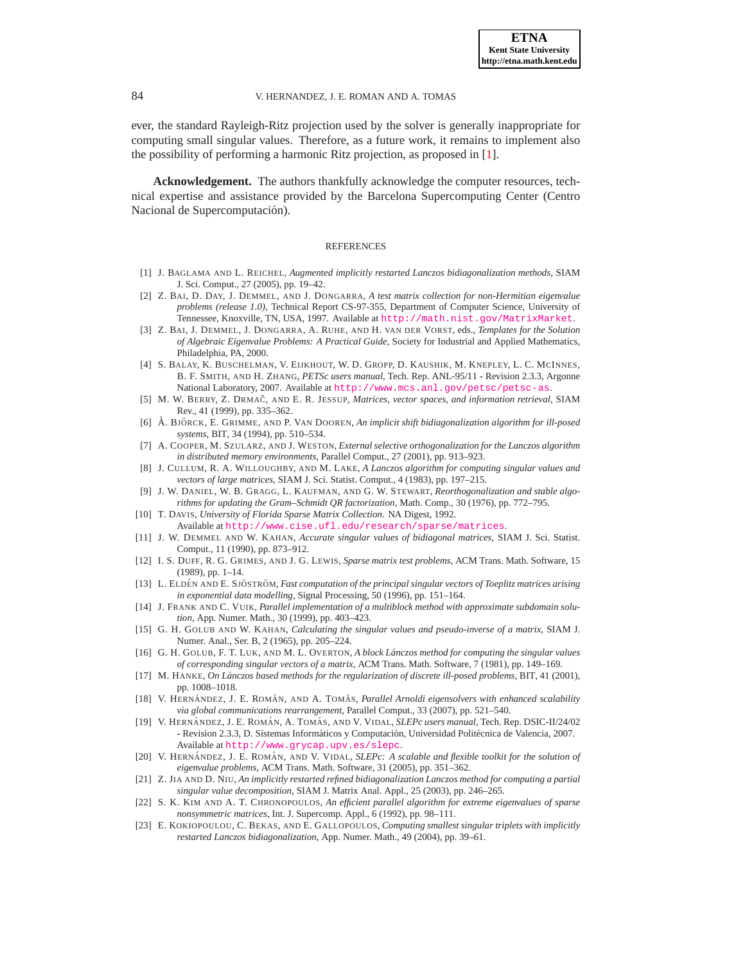ever, the standard Rayleigh-Ritz projection used by the solver is generally inappropriate for computing small singular values. Therefore, as a future work, it remains to implement also the possibility of performing a harmonic Ritz projection, as proposed in [\[1\]](#page-16-7).

**Acknowledgement.** The authors thankfully acknowledge the computer resources, technical expertise and assistance provided by the Barcelona Supercomputing Center (Centro Nacional de Supercomputación).

### **REFERENCES**

- <span id="page-16-7"></span>[1] J. BAGLAMA AND L. REICHEL, *Augmented implicitly restarted Lanczos bidiagonalization methods*, SIAM J. Sci. Comput., 27 (2005), pp. 19–42.
- <span id="page-16-21"></span>[2] Z. BAI, D. DAY, J. DEMMEL, AND J. DONGARRA, *A test matrix collection for non-Hermitian eigenvalue problems (release 1.0)*, Technical Report CS-97-355, Department of Computer Science, University of Tennessee, Knoxville, TN, USA, 1997. Available at <http://math.nist.gov/MatrixMarket>.
- <span id="page-16-10"></span>[3] Z. BAI, J. DEMMEL, J. DONGARRA, A. RUHE, AND H. VAN DER VORST, eds., *Templates for the Solution of Algebraic Eigenvalue Problems: A Practical Guide*, Society for Industrial and Applied Mathematics, Philadelphia, PA, 2000.
- <span id="page-16-16"></span>[4] S. BALAY, K. BUSCHELMAN, V. EIJKHOUT, W. D. GROPP, D. KAUSHIK, M. KNEPLEY, L. C. MCINNES, B. F. SMITH, AND H. ZHANG, *PETSc users manual*, Tech. Rep. ANL-95/11 - Revision 2.3.3, Argonne National Laboratory, 2007. Available at <http://www.mcs.anl.gov/petsc/petsc-as>.
- <span id="page-16-2"></span>[5] M. W. BERRY, Z. DRMACˇ, AND E. R. JESSUP, *Matrices, vector spaces, and information retrieval*, SIAM Rev., 41 (1999), pp. 335–362.
- <span id="page-16-13"></span>[6] Å. BJÖRCK, E. GRIMME, AND P. VAN DOOREN, *An implicit shift bidiagonalization algorithm for ill-posed systems*, BIT, 34 (1994), pp. 510–534.
- <span id="page-16-12"></span>[7] A. COOPER, M. SZULARZ, AND J. WESTON, *External selective orthogonalization for the Lanczos algorithm in distributed memory environments*, Parallel Comput., 27 (2001), pp. 913–923.
- <span id="page-16-11"></span>[8] J. CULLUM, R. A. WILLOUGHBY, AND M. LAKE, *A Lanczos algorithm for computing singular values and vectors of large matrices*, SIAM J. Sci. Statist. Comput., 4 (1983), pp. 197–215.
- <span id="page-16-17"></span>[9] J. W. DANIEL, W. B. GRAGG, L. KAUFMAN, AND G. W. STEWART, *Reorthogonalization and stable algorithms for updating the Gram–Schmidt QR factorization*, Math. Comp., 30 (1976), pp. 772–795.
- <span id="page-16-22"></span>[10] T. DAVIS, *University of Florida Sparse Matrix Collection*. NA Digest, 1992.
- Available at <http://www.cise.ufl.edu/research/sparse/matrices>.
- <span id="page-16-9"></span>[11] J. W. DEMMEL AND W. KAHAN, *Accurate singular values of bidiagonal matrices*, SIAM J. Sci. Statist. Comput., 11 (1990), pp. 873–912.
- <span id="page-16-20"></span>[12] I. S. DUFF, R. G. GRIMES, AND J. G. LEWIS, *Sparse matrix test problems*, ACM Trans. Math. Software, 15 (1989), pp. 1–14.
- <span id="page-16-1"></span>[13] L. ELDÉN AND E. SJÖSTRÖM, *Fast computation of the principal singular vectors of Toeplitz matrices arising in exponential data modelling*, Signal Processing, 50 (1996), pp. 151–164.
- <span id="page-16-18"></span>[14] J. FRANK AND C. VUIK, *Parallel implementation of a multiblock method with approximate subdomain solution*, App. Numer. Math., 30 (1999), pp. 403–423.
- <span id="page-16-8"></span>[15] G. H. GOLUB AND W. KAHAN, *Calculating the singular values and pseudo-inverse of a matrix*, SIAM J. Numer. Anal., Ser. B, 2 (1965), pp. 205–224.
- <span id="page-16-3"></span>[16] G. H. GOLUB, F. T. LUK, AND M. L. OVERTON, *A block Lanczos method for computing the singular values ´ of corresponding singular vectors of a matrix*, ACM Trans. Math. Software, 7 (1981), pp. 149–169.
- <span id="page-16-0"></span>[17] M. HANKE, *On Lanczos based methods for the regularization of discrete ill ´ -posed problems*, BIT, 41 (2001), pp. 1008–1018.
- <span id="page-16-6"></span>[18] V. HERNÁNDEZ, J. E. ROMÁN, AND A. TOMÁS, Parallel Arnoldi eigensolvers with enhanced scalability *via global communications rearrangement*, Parallel Comput., 33 (2007), pp. 521–540.
- <span id="page-16-4"></span>[19] V. HERNÁNDEZ, J. E. ROMÁN, A. TOMÁS, AND V. VIDAL, *SLEPc users manual*, Tech. Rep. DSIC-II/24/02 - Revision 2.3.3, D. Sistemas Informáticos y Computación, Universidad Politécnica de Valencia, 2007. Available at <http://www.grycap.upv.es/slepc>.
- <span id="page-16-5"></span>[20] V. HERNÁNDEZ, J. E. ROMÁN, AND V. VIDAL, *SLEPc: A scalable and flexible toolkit for the solution of eigenvalue problems*, ACM Trans. Math. Software, 31 (2005), pp. 351–362.
- <span id="page-16-14"></span>[21] Z. JIA AND D. NIU, *An implicitly restarted refined bidiagonalization Lanczos method for computing a partial singular value decomposition*, SIAM J. Matrix Anal. Appl., 25 (2003), pp. 246–265.
- <span id="page-16-19"></span>[22] S. K. KIM AND A. T. CHRONOPOULOS, *An efficient parallel algorithm for extreme eigenvalues of sparse nonsymmetric matrices*, Int. J. Supercomp. Appl., 6 (1992), pp. 98–111.
- <span id="page-16-15"></span>[23] E. KOKIOPOULOU, C. BEKAS, AND E. GALLOPOULOS, *Computing smallest singular triplets with implicitly restarted Lanczos bidiagonalization*, App. Numer. Math., 49 (2004), pp. 39–61.